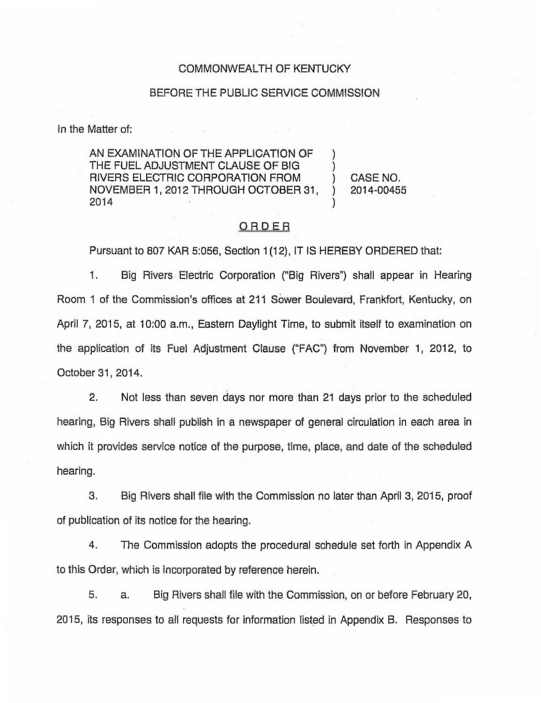### COMMONWEALTH OF KENTUCKY

### BEFORE THE PUBLIC SERVICE COMMISSION

In the Matter of:

AN EXAMINATION OF THE APPLICATION OF THE FUEL ADJUSTMENT CLAUSE OF BIG RIVERS ELECTRIC CORPORATION FROM NOVEMBER 1, 2012 THROUGH OCTOBER 31, 2014 ) ) )

) CASE NO. ) 2014-00455

### ORDER

Pursuant to 807 KAR 5:056, Section 1(12), IT IS HEREBY ORDERED that:

1. Big Rivers Electric Corporation ("Big Rivers") shall appear in Hearin Room 1 of the Commission's offices at 211 Sower Boulevard, Frankfort, Kentucky, on April 7, 2015, at 10:00 a.m., Eastern Daylight Time, to submit itself to examination on the application of its Fuel Adjustment Clause ("FAC") from November 1, 2012, to October 31, 2014.

2. Not less than seven days nor more than 21 days prior to the scheduled hearing, Big Rivers shall publish in a newspaper of general circulation in each area in which it provides service notice of the purpose, time, place, and date of the scheduled hearing.

3. Big Rivers shall file with the Commission no later than April 3, 2015, proof of publication of its notice for the hearing.

4. The Commission adopts the procedural schedule set forth in Appendix A to this Order, which is incorporated by reference herein.

5. a. Big Rivers shall file with the Commission, on or before February 20, 2015, its responses to all requests for information listed in Appendix B. Responses to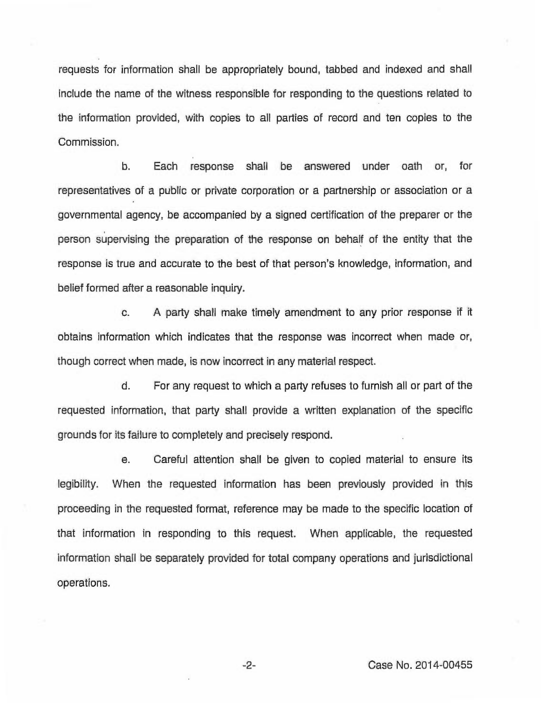requests for information shall be appropriately bound, tabbed and indexed and shall include the name of the witness responsible for responding to the questions related to the information provided, with copies to all parties of record and ten copies to the Commission.

b. Each response shall be answered under oath or, for representatives of a public or private corporation or a partnership or association or a governmental agency, be accompanied by a signed certification of the preparer or the person supervising the preparation of the response on behalf of the entity that the response is true and accurate to the best of that person's knowledge, information, and belief formed after a reasonable inquiry.

c. <sup>A</sup> party shall make timely amendment to any prior response if it obtains information which indicates that the response was incorrect when made or, though correct when made, is now incorrect in any material respect.

d. For any request to which a party refuses to furnish all or part of the requested information, that party shall provide a written explanation of the specific grounds for its failure to completely and precisely respond.

e. Careful attention shall be given to copied material to ensure its legibility. When the requested information has been previously provided in this proceeding in the requested format, reference may be made to the specific location of that information in responding to this request. When applicable, the requested information shall be separately provided for total company operations and jurisdictional operations.

 $-2-$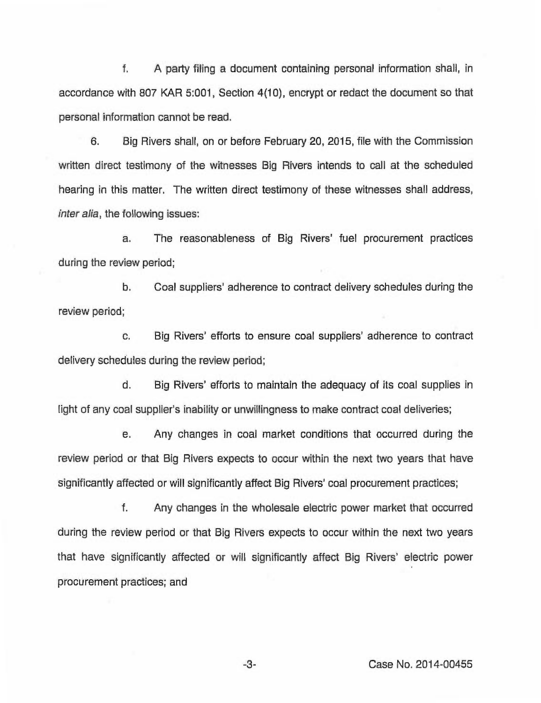f. A party filing a document containing personal information shall, in accordance with 807 KAR 5:001, Section 4(10), encrypt or redact the document so that personal information cannot be read.

6. Big Rivers shall, on or before February 20, 2015, file with the Commission written direct testimony of the witnesses Big Rivers intends to call at the scheduled hearing in this matter. The written direct testimony of these witnesses shall address, inter alia, the following issues:

a. The reasonableness of Big Rivers' fuel procurement practices during the review period;

b. Coal suppliers' adherence to contract delivery schedules during the review period;

c. Big Rivers' efforts to ensure coal suppliers' adherence to contract delivery schedules during the review period;

d. Big Rivers' efforts to maintain the adequacy of its coal supplies in light of any coal supplier's inability or unwillingness to make contract coal deliveries;

e. Any changes in coal market conditions that occurred during the review period or that Big Rivers expects to occur within the next two years that have significantly affected or will significantly affect Big Rivers' coal procurement practices;

f. Any changes in the wholesale electric power market that occurred during the review period or that Big Rivers expects to occur within the next two years that have significantly affected or will significantly affect Big Rivers' electric power procurement practices; and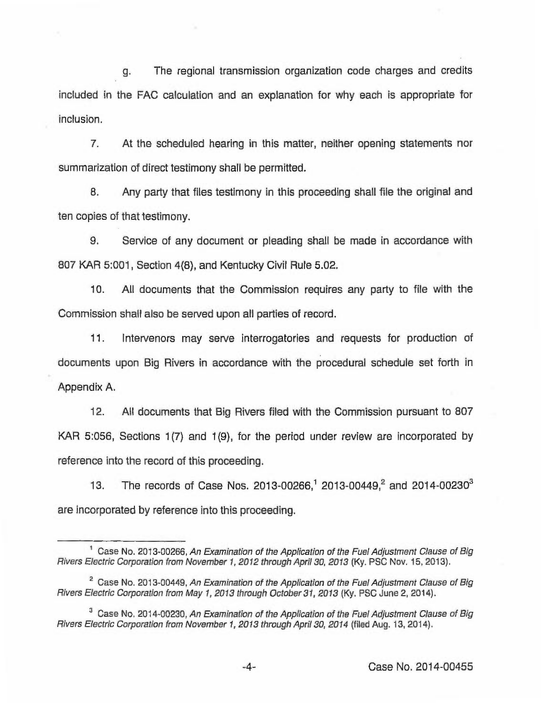g. The regional transmission organization code charges and credits included in the FAC calculation and an explanation for why each is appropriate for inclusion.

7. At the scheduled hearing in this matter, neither opening statements nor summarization of direct testimony shall be permitted.

8. Any party that files testimony in this proceeding shall file the original and ten copies of that testimony.

9. Service of any document or pleading shall be made in accordance with 807 KAR 5:001, Section 4(8), and Kentucky Civil Rule 5.02.

10. All documents that the Commission requires any party to file with the Commission shall also be served upon all parties of record.

11. Intervenors may serve interrogatories and requests for production of documents upon Big Rivers in accordance with the procedural schedule set forth in Appendix A.

12. All documents that Big Rivers filed with the Commission pursuant to 807 KAR 5:056, Sections 1(7) and 1(9), for the period under review are incorporated by reference into the record of this proceeding.

13. The records of Case Nos. 2013-00266,<sup>1</sup> 2013-00449,<sup>2</sup> and 2014-00230<sup>3</sup> are incorporated by reference into this proceeding.

<sup>&</sup>lt;sup>1</sup> Case No. 2013-00266, An Examination of the Application of the Fuel Adjustment Clause of Big Rivers Electric Corporation from November 1, 2012 through April 30, 2013 (Ky. PSC Nov. 15, 2013),

<sup>&</sup>lt;sup>2</sup> Case No. 2013-00449, An Examination of the Application of the Fuel Adjustment Clause of Big Rivers Electric Corporation from May 1, 2013 through October 31, 2013 (Ky. PSC June 2, 2014).

 $3$  Case No, 2014-00230, An Examination of the Application of the Fuel Adjustment Clause of Big Rivers Electric Corporation from November 1, 2013 through April 30, 2014 (tiled Aug. 13, 2014).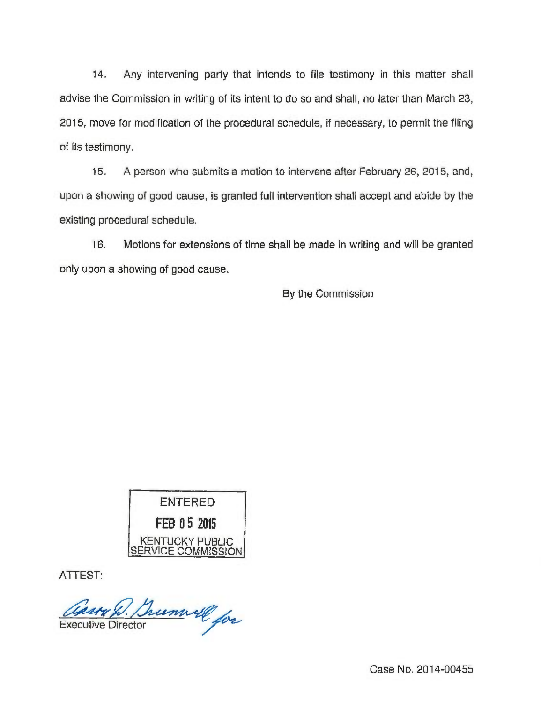14. Any intervening party that intends to file testimony in this matter shall advise the Commission in writing of its intent to do so and shall, no later than March 23, 2015, move for modification of the procedural schedule, if necessary, to permit the filing of its testimony.

15. <sup>A</sup> person who submits a motion to intervene after February 26, 2015, and, upon a showing of good cause, is granted full intervention shall accept and abide by the existing procedural schedule.

16. Motions for extensions of time shall be made in writing and will be granted only upon a showing of good cause.

By the Commission



ATTEST:

asso R. Brunwill for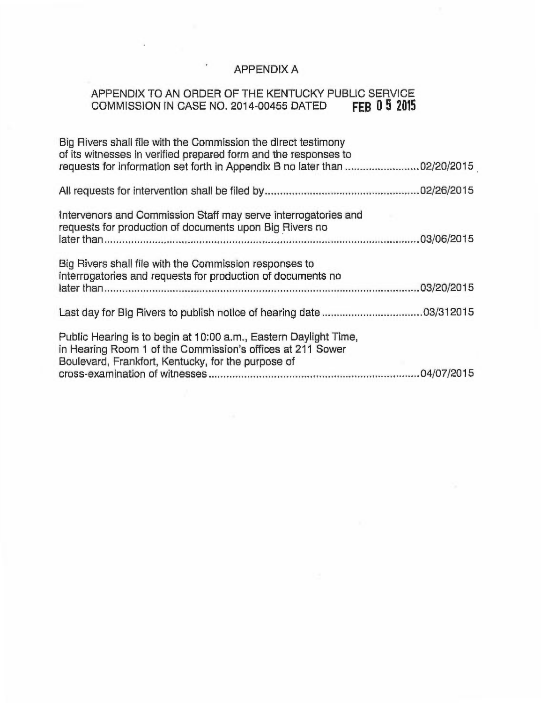# APPENDIX A

## APPENDIX TO AN ORDER OF THE KENTUCKY PUBLIC SERVICE COMMISSION IN CASE NO. 2014-00455 DATED  $\overline{FB}$  0  $5$   $2015$

 $\,$ 

| Big Rivers shall file with the Commission the direct testimony<br>of its witnesses in verified prepared form and the responses to<br>requests for information set forth in Appendix B no later than 02/20/2015 |  |
|----------------------------------------------------------------------------------------------------------------------------------------------------------------------------------------------------------------|--|
|                                                                                                                                                                                                                |  |
| Intervenors and Commission Staff may serve interrogatories and<br>requests for production of documents upon Big Rivers no                                                                                      |  |
| Big Rivers shall file with the Commission responses to<br>interrogatories and requests for production of documents no                                                                                          |  |
|                                                                                                                                                                                                                |  |
| Public Hearing is to begin at 10:00 a.m., Eastern Daylight Time,<br>in Hearing Room 1 of the Commission's offices at 211 Sower<br>Boulevard, Frankfort, Kentucky, for the purpose of                           |  |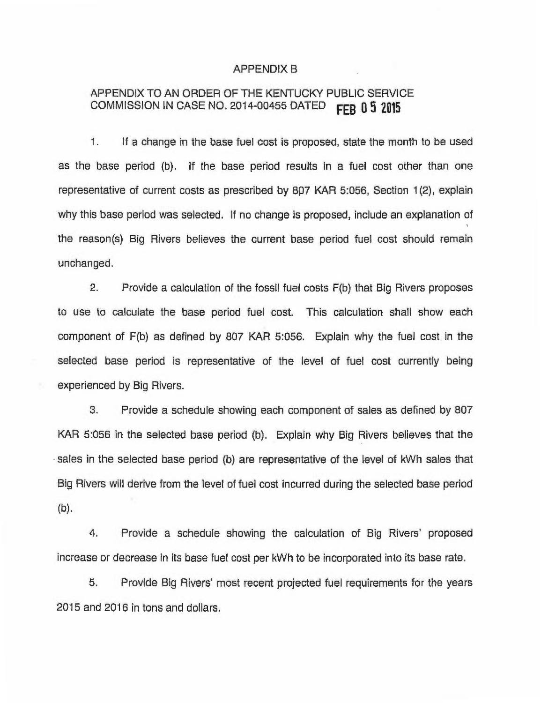### APPENDIX B

## APPENDIX TO AN ORDER OF THE KENTUCKY PUBLIC SERVICE COMMISSION IN CASE NO. 2014-00455 DATED **FFB 0 5 2015**

1. If a change in the base fuel cost is proposed, state the month to be used as the base period (b). If the base period results in a fuel cost other than one representative of current costs as prescribed by 8p7 KAR 5:056, Section 1(2), explain why this base period was selected. If no change is proposed, include an explanation of the reason(s) Big Rivers believes the current base period fuel cost should remain unchanged.

2. Provide a calculation of the fossil fuel costs F(b) that Big Rivers proposes to use to calculate the base period fuel cost. This calculation shall show each component of F(b) as defined by 807 KAR 5:056. Explain why the fuel cost in the selected base period is representative of the level of fuel cost currently being experienced by Big Rivers.

3. Provide a schedule showing each component of sales as defined by 807 KAR 5:056 in the selected base period (b). Explain why Big Rivers believes that the sales in the selected base period (b) are representative of the level of kWh sales that Big Rivers will derive from the level of fuel cost incurred during the selected base period (b).

4. Provide a schedule showing the calculation of Big Rivers' proposed increase or decrease in its base fuel cost per kWh to be incorporated into its base rate.

5. Provide Big Rivers' most recent projected fuel requirements for the years 2015 and 2016 in tons and dollars.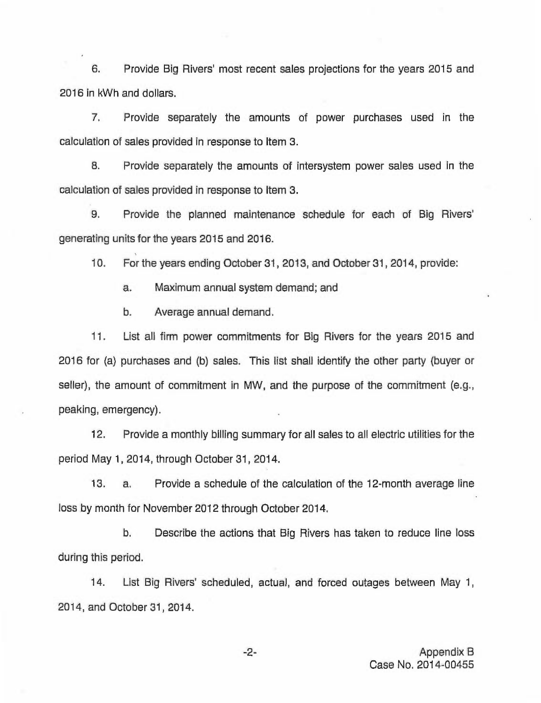6. Provide Big Rivers' most recent sales projections for the years 2015 and 2016 in kWh and dollars.

7. Provide separately the amounts of power purchases used in the calculation of sales provided in response to Item 3.

6. Provide separately the amounts of intersystem power sales used in the calculation of sales provided in response to Item 3.

9. Provide the planned maintenance schedule for each of Big generating units for the years 2015 and 2016.

10. For the years ending October 31, 2013, and October 31, 2014, provide:

a. Maximum annual system demand; and

b. Average annual demand.

11. List all firm power commitments for Big Rivers for the years 2015 and 2016 for (a) purchases and (b) sales. This list shall identify the other party (buyer or seller), the amount of commitment in MW, and the purpose of the commitment (e.g., peaking, emergency).

12. Provide a monthly billing summary for all sales to all electric utilities for the period May 1, 2014, through October 31, 2014.

13. a. Provide a schedule of the calculation of the 12-month average line loss by month for November 2012 through October 2014.

b, Describe the actions that Big Rivers has taken to reduce line loss during this period.

14. List Big Rivers' scheduled, actual, and forced outages between May 1, 2014, and October 31, 2014.

 $-2-$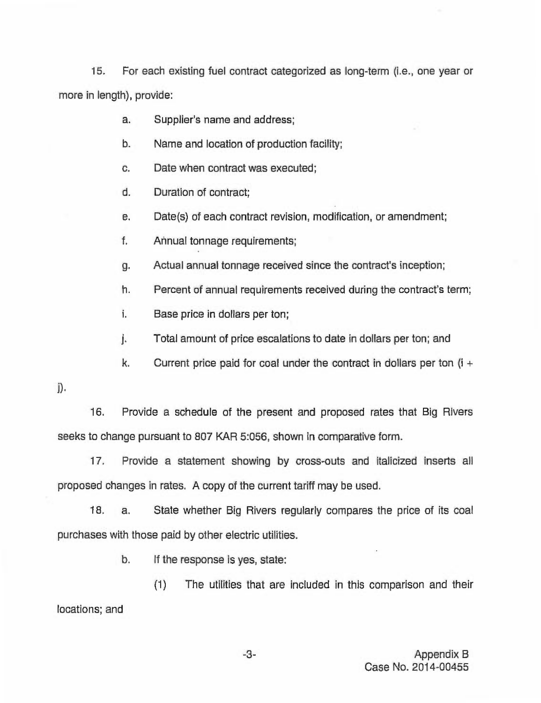15. For each existing fuel contract categorized as long-term (i.e., one year or more in length), provide:

a. Supplier's name and address;

- $b.$ Name and location of production facility;
- C. Date when contract was executed;
- d. Duration of contract;
- е. Date(s) of each contract revision, modification, or amendment;
- f. Annual tonnage requirements;
- Actual annual tonnage received since the contract's inception; g.
- h. Percent of annual requirements received during the contract's term;
- i. Base price in dollars per ton;
- j. Total amount of price escalations to date in dollars per ton; and
- k. Current price paid for coal under the contract in dollars per ton  $(i +$
- $\mathbf{D}$ .

16. Provide a schedule of the present and proposed rates that Big Rivers seeks to change pursuant to 807 KAR 5:056, shown in comparative form.

17. Provide a statement showing by cross-outs and italicized inserts all proposed changes in rates. A copy of the current tariff may be used.

18. a. State whether Big Rivers regularly compares the price of its coal purchases with those paid by other electric utilities.

b. If the response is yes, state:

(1) The utilities that are included in this comparison and their locations; and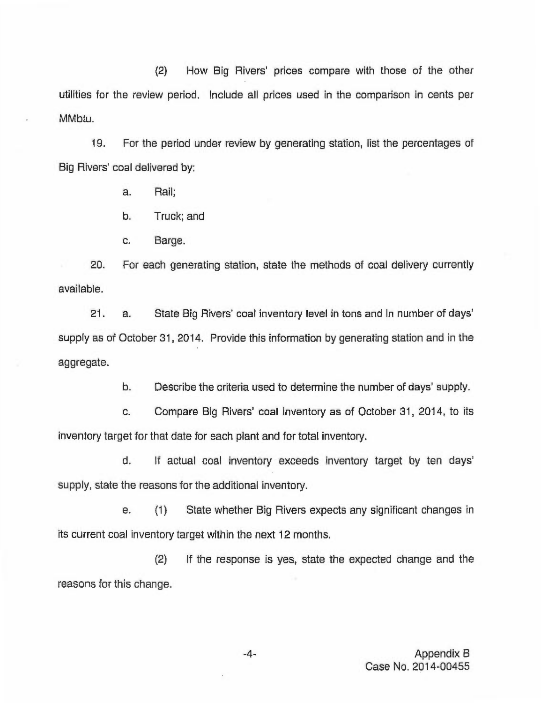(2) How Big Rivers' prices compare with those of the other utilities for the review period. Include all prices used in the comparison in cents per MMbtu.

19. For the period under review by generating station, list the percentages of Big Rivers' coal delivered by:

a. Rail;

b. Truck; and

c. Barge.

20. For each generating station, state the methods of coal delivery currently available.

21. a. State Big Rivers' coal inventory level in tons and in number of days' supply as of October 31, 2014. Provide this information by generating station and in the aggregate.

b. Describe the criteria used to determine the number of days' supply.

c. Compare Big Rivers' coal inventory as of October 31, 2014, to its inventory target for that date for each plant and for total inventory.

d. If actual coal inventory exceeds inventory target by ten days' supply, state the reasons for the additional inventory.

e. (1) State whether Big Rivers expects any significant changes in its current coal inventory target within the next 12 months.

(2) If the response is yes, state the expected change and the reasons for this change.

> -4- Appendix 8 Case No. 2014-00455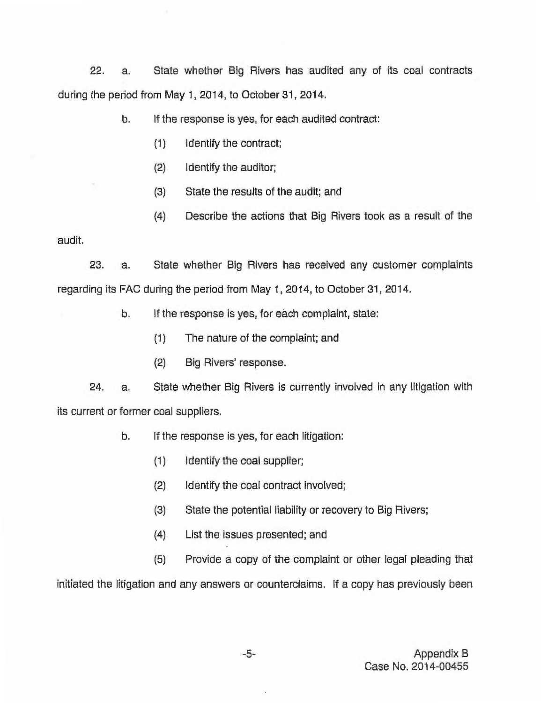22. a. State whether Big Rivers has audited any of its coal contracts during the period from May 1, 2014, to October 31, 2014.

> b. If the response is yes, for each audited contract:

- (1) identify the contract;
- (2) Identify the auditor;
- (3) State the results of the audit; and
- (4) Describe the actions that Big Rivers took as a result of the

audit.

23. a. State whether Big Rivers has received any customer complaints regarding its FAC during the period from May 1, 2014, to October 31, 2014.

b. If the response is yes, for each complaint, state:

- (1) The nature of the complaint; and
- (2) Big Rivers' response.

24. a. State whether Big Rivers is currently involved in any litigation with its current or former coal suppliers.

- b. If the response is yes, for each litigation:
	- (1) Identify the coal supplier;
	- (2) Identify the coal contract involved;
	- (3) State the potential liability or recovery to Big Rivers;
	- (4) List the issues presented; and

(5) Provide a copy of the complaint or other legal pleading that initiated the litigation and any answers or counterclaims. If a copy has previously been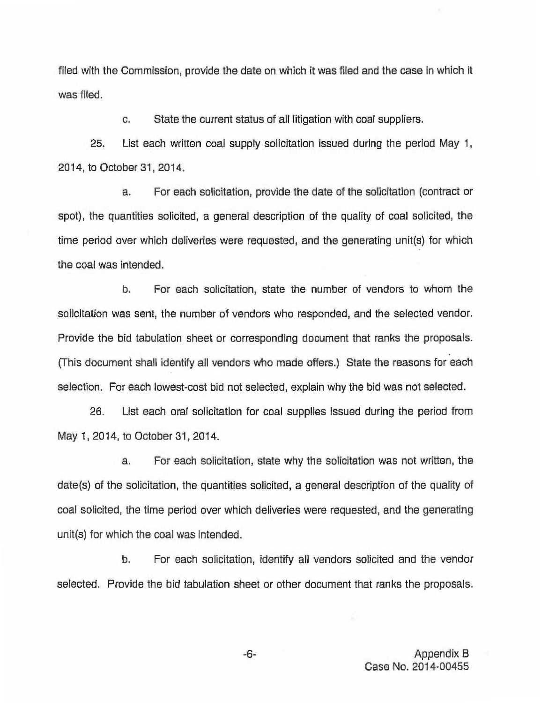filed with the Commission, provide the date on which it was filed and the case in which it was filed.

c, State the current status of all litigation with coal suppliers.

25. List each written coal supply solicitation issued during the period May 1, 2014, to October 31, 2014.

a. For each solicitation, provide the date of the solicitation (contract or spot), the quantities solicited, a general description of the quality of coal solicited, the time period over which deliveries were requested, and the generating unit(s) for which the coal was intended.

b. For each solicitation, state the number of vendors to whom the solicitation was sent, the number of vendors who responded, and the selected vendor. Provide the bid tabulation sheet or corresponding document that ranks the proposals. (This document shall identify all vendors who made offers.) State the reasons for each selection. For each lowest-cost bid not selected, explain why the bid was not selected.

26. List each oral solicitation for coal supplies issued during the period from May 1, 2014, to October 31, 2014.

a. For each solicitation, state why the solicitation was not written, the date(s) of the solicitation, the quantities solicited, a general description of the quality of coal solicited, the time period over which deliveries were requested, and the generating unit(s) for which the coal was intended.

b. For each solicitation, identify all vendors solicited and the vendor selected. Provide the bid tabulation sheet or other document that ranks the proposals.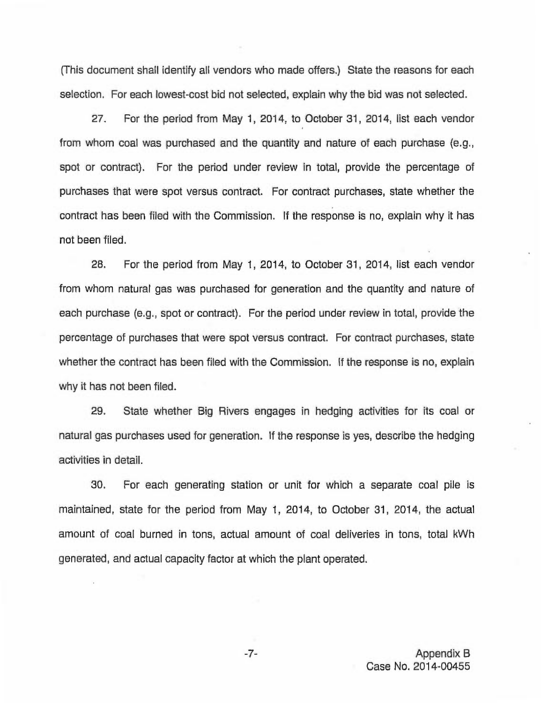(This document shall identify all vendors who made offers.) State the reasons for each selection. For each lowest-cost bid not selected, explain why the bid was not selected.

27. For the period from May 1, 2014, to October 31, 2014, list each vendor from whom coal was purchased and the quantity and nature of each purchase (e.g., spot or contract). For the period under review in total, provide the percentage of purchases that were spot versus contract. For contract purchases, state whether the contract has been filed with the Commission. If the response is no, explain why it has not been filed.

28. For the period from May 1, 2014, to October 31, 2014, list each vendor from whom natural gas was purchased for generation and the quantity and nature of each purchase (e.g., spot or contract). For the period under review in total, provide the percentage of purchases that were spot versus contract. For contract purchases, state whether the contract has been filed with the Commission. If the response is no, explain why it has not been filed.

29. State whether Big Rivers engages in hedging activities for its coal or natural gas purchases used for generation. If the response is yes, describe the hedging activities in detail.

30. For each generating station or unit for which a separate coal pile is maintained, state for the period from May 1, 2014, to October 31, 2014, the actual amount of coal burned in tons, actual amount of coal deliveries in tons, total kWh generated, and actual capacity factor at which the plant operated.

 $-7-$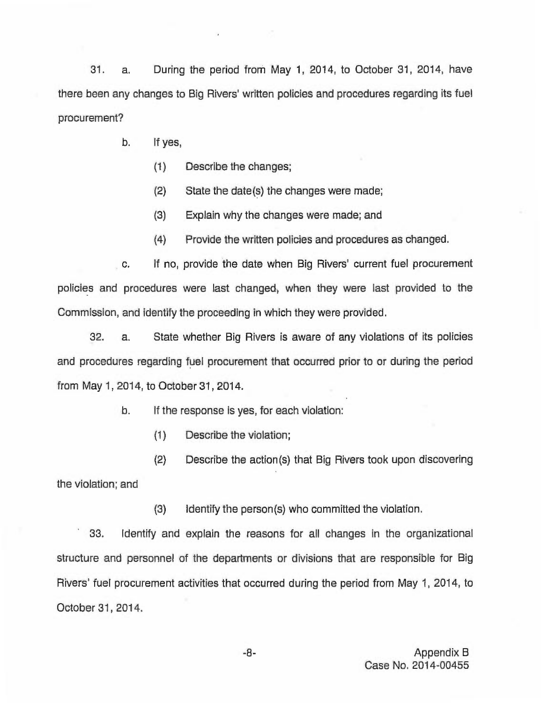31. a. During the period from May 1, 2014, to October 31, 2014, have there been any changes to Big Rivers' written policies and procedures regarding its fuel procurement?

- b. If yes,
	- $(1)$  Describe the changes;
	- (2) State the date(s) the changes were made;
	- (3) Explain why the changes were made; and
	- (4) Provide the written policies and procedures as changed.

c. If no, provide the date when Big Rivers' current fuel procurement policies and procedures were last changed, when they were last provided to the Commission, and identify the proceeding in which they were provided.

32. a. State whether Big Rivers is aware of any violations of its policies and procedures regarding fuel procurement that occurred prior to or during the period from May 1, 2014, to October 31, 2014.

b. If the response is yes, for each violation:

(1) Describe the violation;

(2) Describe the action(s) that Big Rivers took upon discovering the violation; and

(3) Identify the person(s) who committed the violation.

33. Identify and explain the reasons for all changes in the organizational structure and personnel of the departments or divisions that are responsible for Big Rivers' fuel procurement activities that occurred during the period from May 1, 2014, to October 31, 2014.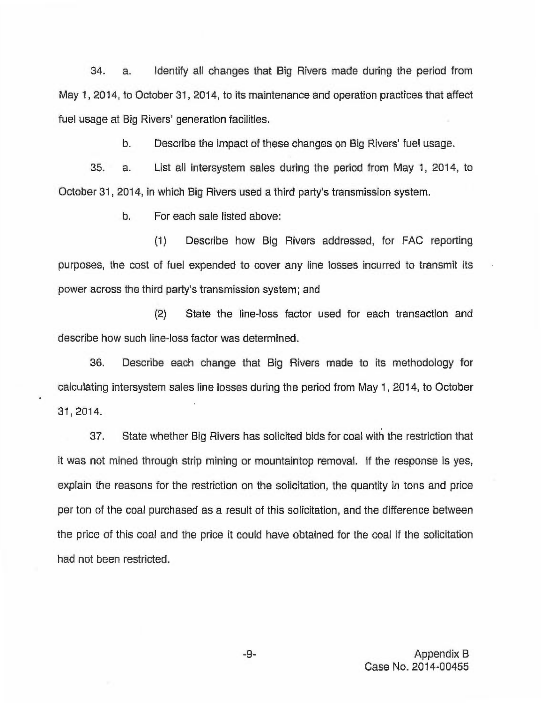34. a. Identify all changes that Big Rivers made during the period from May 1, 2014, to October 31, 2014, to its maintenance and operation practices that affect fuel usage at Big Rivers' generation facilities.

b. Describe the impact of these changes on Big Rivers' fuel usage.

35. a. List all intersystem sales during the period from May 1, 2014, to October 31, 2014, in which Big Rivers used a third party's transmission system.

b. For each sale listed above:

(1) Describe how Big Rivers addressed, for FAC reporting purposes, the cost of fuel expended to cover any line losses incurred to transmit its power across the third party's transmission system; and

(2) State the line-loss factor used for each transaction and describe how such line-loss factor was determined.

36. Describe each change that Big Rivers made to its methodology for calculating intersystem sales line losses during the period from May 1, 2014, to October 31, 2014.

37. State whether Big Rivers has solicited bids for coal with the restriction that it was not mined through strip mining or mountaintop removal. If the response is yes, explain the reasons for the restriction on the solicitation, the quantity in tons and price per ton of the coal purchased as a result of this solicitation, and the difference between the price of this coal and the price it could have obtained for the coal if the solicitation had not been restricted.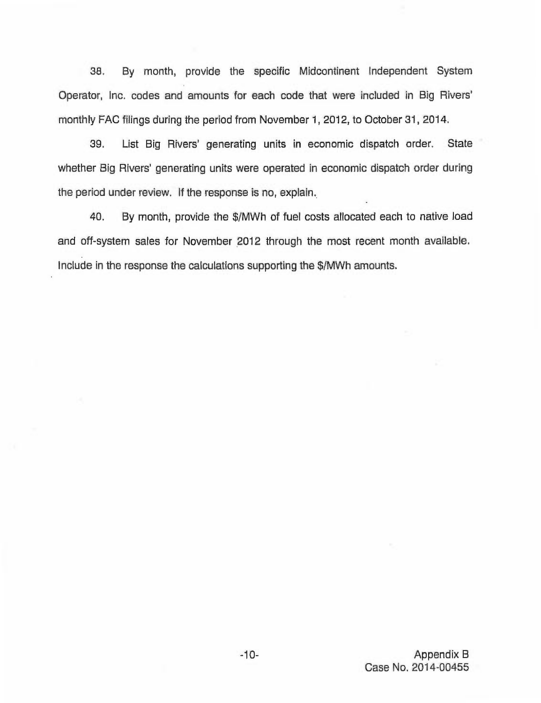38. By month, provide the specific Midcontinent Independent System Operator, Inc. codes and amounts for each code that were included in Big FAC filings during the period from November 1, 2012, to October 31, 2014.

39. List Big Rivers' generating units in economic dispatch order. State whether Big Rivers' generating units were operated in economic dispatch order during the period under review. If the response is no, explain.

40. By month, provide the \$/MWh of fuel costs allocated each to native load and off-system sales for November 2012 through the most recent month available. Include in the response the calculations supporting the \$/MWh amounts.